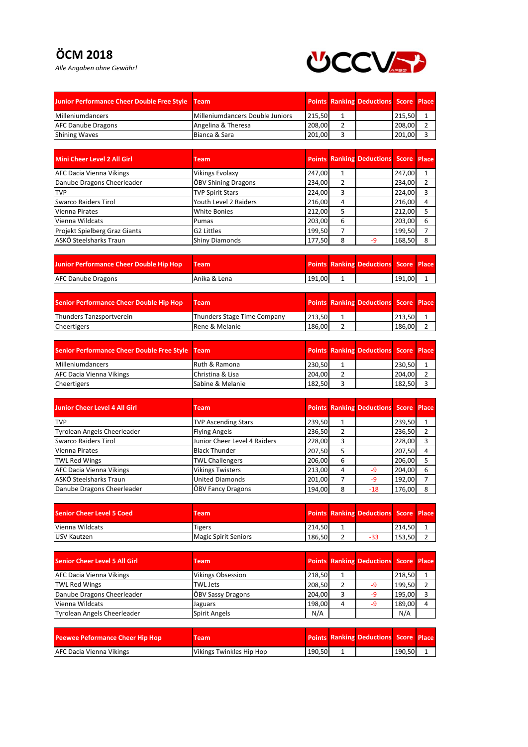## **ÖCM 2018**

*Alle Angaben ohne Gewähr!*



| Junior Performance Cheer Double Free Style Team |                                 |        | <b>Points Ranking Deductions Score Place</b> |        |  |
|-------------------------------------------------|---------------------------------|--------|----------------------------------------------|--------|--|
| Milleniumdancers                                | Milleniumdancers Double Juniors | 215.50 |                                              | 215,50 |  |
| <b>AFC Danube Dragons</b>                       | Angelina & Theresa              | 208,00 |                                              | 208,00 |  |
| <b>Shining Waves</b>                            | Bianca & Sara                   | 201.00 |                                              | 201,00 |  |

| Mini Cheer Level 2 All Girl     | <b>Team</b>                |        |   | <b>Points Ranking Deductions Score Place</b> |        |   |
|---------------------------------|----------------------------|--------|---|----------------------------------------------|--------|---|
| <b>AFC Dacia Vienna Vikings</b> | <b>Vikings Evolaxy</b>     | 247,00 |   |                                              | 247,00 |   |
| Danube Dragons Cheerleader      | <b>ÖBV Shining Dragons</b> | 234,00 | 2 |                                              | 234,00 |   |
| <b>TVP</b>                      | <b>TVP Spirit Stars</b>    | 224,00 | 3 |                                              | 224,00 |   |
| Swarco Raiders Tirol            | Youth Level 2 Raiders      | 216,00 | 4 |                                              | 216,00 |   |
| Vienna Pirates                  | <b>White Bonies</b>        | 212,00 | 5 |                                              | 212,00 |   |
| Vienna Wildcats                 | Pumas                      | 203.00 | 6 |                                              | 203,00 |   |
| Projekt Spielberg Graz Giants   | G2 Littles                 | 199,50 |   |                                              | 199,50 |   |
| ASKÖ Steelsharks Traun          | <b>Shiny Diamonds</b>      | 177,50 | 8 | -9                                           | 168,50 | 8 |

| Junior Performance Cheer Double Hip Hop | / Team       |        | <b>Points Ranking Deductions Score Place</b> |        |  |
|-----------------------------------------|--------------|--------|----------------------------------------------|--------|--|
| <b>AFC Danube Dragons</b>               | Anika & Lena | 191.00 |                                              | 191.00 |  |

| <b>Senior Performance Cheer Double Hip Hop</b> | Team                        |        | <b>Points Ranking Deductions Score Place</b> |        |  |
|------------------------------------------------|-----------------------------|--------|----------------------------------------------|--------|--|
| Thunders Tanzsportverein                       | Thunders Stage Time Company | 213.50 |                                              | 213.50 |  |
| <b>Cheertigers</b>                             | Rene & Melanie              | 186.00 |                                              | 186.00 |  |

| Senior Performance Cheer Double Free Style Team |                  |        | <b>Points Ranking Deductions Score Place</b> |        |  |
|-------------------------------------------------|------------------|--------|----------------------------------------------|--------|--|
| Milleniumdancers                                | Ruth & Ramona    | 230,50 |                                              | 230.50 |  |
| <b>AFC Dacia Vienna Vikings</b>                 | Christina & Lisa | 204.00 |                                              | 204.00 |  |
| Cheertigers                                     | Sabine & Melanie | 182.50 |                                              | 182.50 |  |

| <b>Junior Cheer Level 4 All Girl</b> | <b>Team</b>                  |        |   | <b>Points Ranking Deductions Score Place</b> |        |   |
|--------------------------------------|------------------------------|--------|---|----------------------------------------------|--------|---|
| <b>TVP</b>                           | <b>TVP Ascending Stars</b>   | 239,50 | 1 |                                              | 239,50 |   |
| <b>Tyrolean Angels Cheerleader</b>   | <b>Flying Angels</b>         | 236,50 | 2 |                                              | 236,50 |   |
| Swarco Raiders Tirol                 | Junior Cheer Level 4 Raiders | 228,00 | 3 |                                              | 228,00 | 3 |
| Vienna Pirates                       | <b>Black Thunder</b>         | 207,50 | 5 |                                              | 207.50 | 4 |
| <b>TWL Red Wings</b>                 | <b>TWL Challengers</b>       | 206,00 | 6 |                                              | 206,00 |   |
| <b>AFC Dacia Vienna Vikings</b>      | <b>Vikings Twisters</b>      | 213,00 | 4 | $-9$                                         | 204.00 | 6 |
| ASKÖ Steelsharks Traun               | <b>United Diamonds</b>       | 201,00 |   | -9                                           | 192,00 |   |
| Danube Dragons Cheerleader           | <b>ÖBV Fancy Dragons</b>     | 194,00 | 8 | $-18$                                        | 176,00 | 8 |

| <b>Senior Cheer Level 5 Coed</b> | Team <sup>1</sup>    |        | <b>Points Ranking Deductions Score Place</b> |        |  |
|----------------------------------|----------------------|--------|----------------------------------------------|--------|--|
| Vienna Wildcats                  | Tigers               | 214.50 |                                              | 214.50 |  |
| <b>LUSV Kautzen</b>              | Magic Spirit Seniors | 186.50 | -33                                          | 153.50 |  |

| Senior Cheer Level 5 All Girl      | Team                     |        |   | <b>Points Ranking Deductions Score Place</b> |        |  |
|------------------------------------|--------------------------|--------|---|----------------------------------------------|--------|--|
| <b>AFC Dacia Vienna Vikings</b>    | <b>Vikings Obsession</b> | 218,50 |   |                                              | 218,50 |  |
| <b>TWL Red Wings</b>               | TWL Jets                 | 208,50 |   | -9                                           | 199.50 |  |
| Danube Dragons Cheerleader         | <b>ÖBV Sassy Dragons</b> | 204,00 |   | -9                                           | 195.00 |  |
| Vienna Wildcats                    | Jaguars                  | 198,00 | 4 | -9                                           | 189,00 |  |
| <b>Tyrolean Angels Cheerleader</b> | Spirit Angels            | N/A    |   |                                              | N/A    |  |

| <b>Peewee Peformance Cheer Hip Hop</b> | Team                     |        | <b>Points Ranking Deductions Score Place</b> |        |  |
|----------------------------------------|--------------------------|--------|----------------------------------------------|--------|--|
| AFC Dacia Vienna Vikings               | Vikings Twinkles Hip Hop | 190,50 |                                              | 190,50 |  |